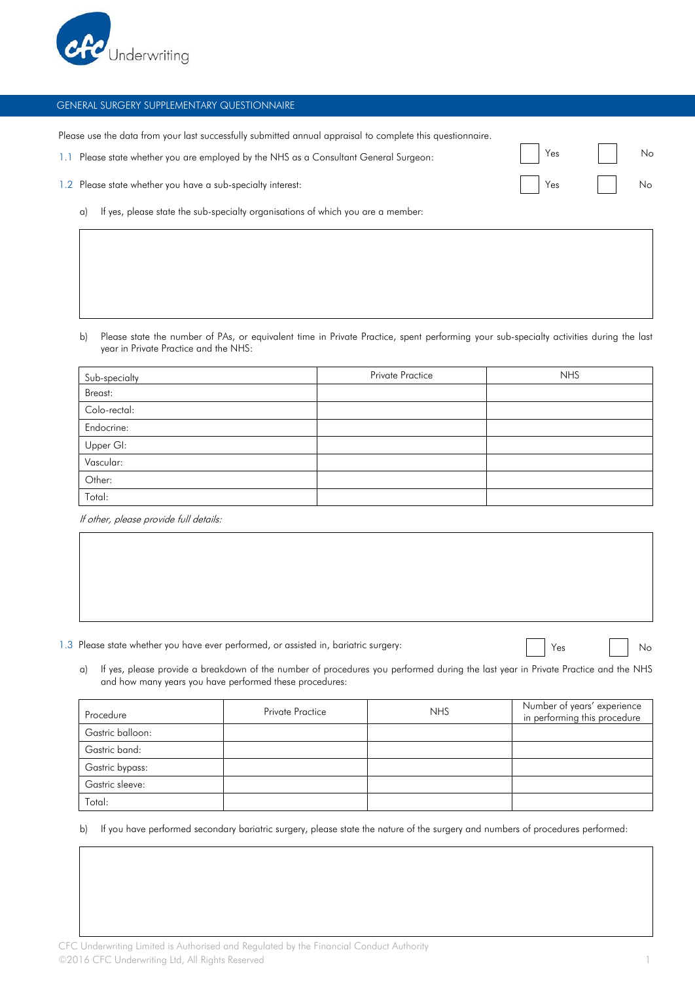

## GENERAL SURGERY SUPPLEMENTARY QUESTIONNAIRE

Please use the data from your last successfully submitted annual appraisal to complete this questionnaire.

1.1 Please state whether you are employed by the NHS as a Consultant General Surgeon:

| 1.2 Please state whether you have a sub-specialty interest:<br>Yes |
|--------------------------------------------------------------------|
|--------------------------------------------------------------------|

a) If yes, please state the sub-specialty organisations of which you are a member:

b) Please state the number of PAs, or equivalent time in Private Practice, spent performing your sub-specialty activities during the last year in Private Practice and the NHS:

| Sub-specialty | Private Practice | <b>NHS</b> |
|---------------|------------------|------------|
| Breast:       |                  |            |
| Colo-rectal:  |                  |            |
| Endocrine:    |                  |            |
| Upper GI:     |                  |            |
| Vascular:     |                  |            |
| Other:        |                  |            |
| Total:        |                  |            |

If other, please provide full details:

1.3 Please state whether you have ever performed, or assisted in, bariatric surgery:  $\Box$  Yes  $\Box$  No

Yes No

a) If yes, please provide a breakdown of the number of procedures you performed during the last year in Private Practice and the NHS and how many years you have performed these procedures:

| Procedure        | Private Practice | <b>NHS</b> | Number of years' experience<br>in performing this procedure |
|------------------|------------------|------------|-------------------------------------------------------------|
| Gastric balloon: |                  |            |                                                             |
| Gastric band:    |                  |            |                                                             |
| Gastric bypass:  |                  |            |                                                             |
| Gastric sleeve:  |                  |            |                                                             |
| Total:           |                  |            |                                                             |

b) If you have performed secondary bariatric surgery, please state the nature of the surgery and numbers of procedures performed: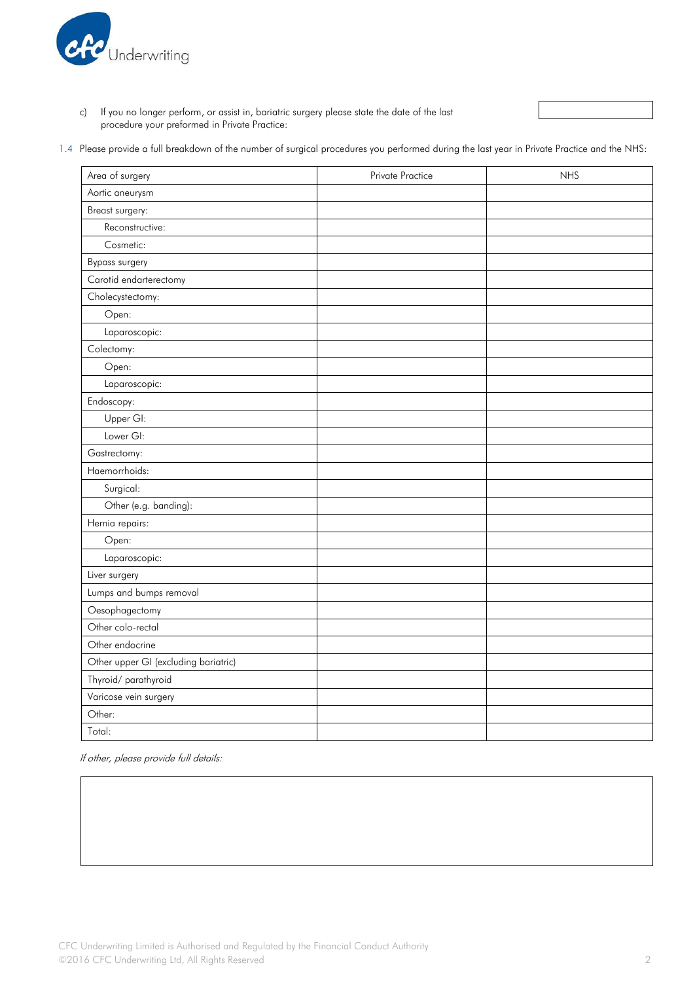

c) If you no longer perform, or assist in, bariatric surgery please state the date of the last procedure your preformed in Private Practice:

1.4 Please provide a full breakdown of the number of surgical procedures you performed during the last year in Private Practice and the NHS:

| Area of surgery                      | Private Practice | <b>NHS</b> |
|--------------------------------------|------------------|------------|
| Aortic aneurysm                      |                  |            |
| Breast surgery:                      |                  |            |
| Reconstructive:                      |                  |            |
| Cosmetic:                            |                  |            |
| <b>Bypass surgery</b>                |                  |            |
| Carotid endarterectomy               |                  |            |
| Cholecystectomy:                     |                  |            |
| Open:                                |                  |            |
| Laparoscopic:                        |                  |            |
| Colectomy:                           |                  |            |
| Open:                                |                  |            |
| Laparoscopic:                        |                  |            |
| Endoscopy:                           |                  |            |
| Upper GI:                            |                  |            |
| Lower GI:                            |                  |            |
| Gastrectomy:                         |                  |            |
| Haemorrhoids:                        |                  |            |
| Surgical:                            |                  |            |
| Other (e.g. banding):                |                  |            |
| Hernia repairs:                      |                  |            |
| Open:                                |                  |            |
| Laparoscopic:                        |                  |            |
| Liver surgery                        |                  |            |
| Lumps and bumps removal              |                  |            |
| Oesophagectomy                       |                  |            |
| Other colo-rectal                    |                  |            |
| Other endocrine                      |                  |            |
| Other upper GI (excluding bariatric) |                  |            |
| Thyroid/parathyroid                  |                  |            |
| Varicose vein surgery                |                  |            |
| Other:                               |                  |            |
| Total:                               |                  |            |

If other, please provide full details: